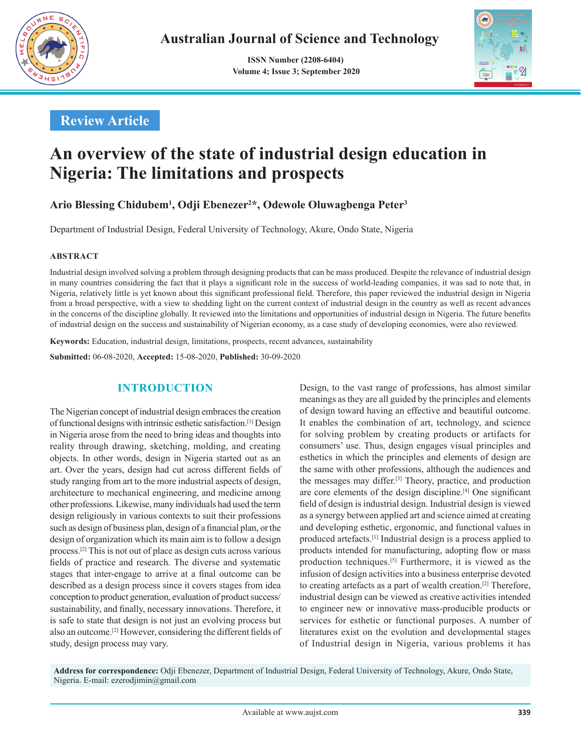

 **ISSN Number (2208-6404) Volume 4; Issue 3; September 2020**



# **Review Article**

# **An overview of the state of industrial design education in Nigeria: The limitations and prospects**

**Ario Blessing Chidubem1 , Odji Ebenezer2 \*, Odewole Oluwagbenga Peter3**

Department of Industrial Design, Federal University of Technology, Akure, Ondo State, Nigeria

#### **ABSTRACT**

Industrial design involved solving a problem through designing products that can be mass produced. Despite the relevance of industrial design in many countries considering the fact that it plays a significant role in the success of world-leading companies, it was sad to note that, in Nigeria, relatively little is yet known about this significant professional field. Therefore, this paper reviewed the industrial design in Nigeria from a broad perspective, with a view to shedding light on the current context of industrial design in the country as well as recent advances in the concerns of the discipline globally. It reviewed into the limitations and opportunities of industrial design in Nigeria. The future benefits of industrial design on the success and sustainability of Nigerian economy, as a case study of developing economies, were also reviewed.

**Keywords:** Education, industrial design, limitations, prospects, recent advances, sustainability

**Submitted:** 06-08-2020, **Accepted:** 15-08-2020, **Published:** 30-09-2020

### **INTRODUCTION**

The Nigerian concept of industrial design embraces the creation of functional designs with intrinsic esthetic satisfaction.[1] Design in Nigeria arose from the need to bring ideas and thoughts into reality through drawing, sketching, molding, and creating objects. In other words, design in Nigeria started out as an art. Over the years, design had cut across different fields of study ranging from art to the more industrial aspects of design, architecture to mechanical engineering, and medicine among other professions. Likewise, many individuals had used the term design religiously in various contexts to suit their professions such as design of business plan, design of a financial plan, or the design of organization which its main aim is to follow a design process.[2] This is not out of place as design cuts across various fields of practice and research. The diverse and systematic stages that inter-engage to arrive at a final outcome can be described as a design process since it covers stages from idea conception to product generation, evaluation of product success/ sustainability, and finally, necessary innovations. Therefore, it is safe to state that design is not just an evolving process but also an outcome.[2] However, considering the different fields of study, design process may vary.

Design, to the vast range of professions, has almost similar meanings as they are all guided by the principles and elements of design toward having an effective and beautiful outcome. It enables the combination of art, technology, and science for solving problem by creating products or artifacts for consumers' use. Thus, design engages visual principles and esthetics in which the principles and elements of design are the same with other professions, although the audiences and the messages may differ.[3] Theory, practice, and production are core elements of the design discipline.[4] One significant field of design is industrial design. Industrial design is viewed as a synergy between applied art and science aimed at creating and developing esthetic, ergonomic, and functional values in produced artefacts.[1] Industrial design is a process applied to products intended for manufacturing, adopting flow or mass production techniques.[5] Furthermore, it is viewed as the infusion of design activities into a business enterprise devoted to creating artefacts as a part of wealth creation.[2] Therefore, industrial design can be viewed as creative activities intended to engineer new or innovative mass-producible products or services for esthetic or functional purposes. A number of literatures exist on the evolution and developmental stages of Industrial design in Nigeria, various problems it has

**Address for correspondence:** Odji Ebenezer, Department of Industrial Design, Federal University of Technology, Akure, Ondo State, Nigeria. E-mail: ezerodjimin@gmail.com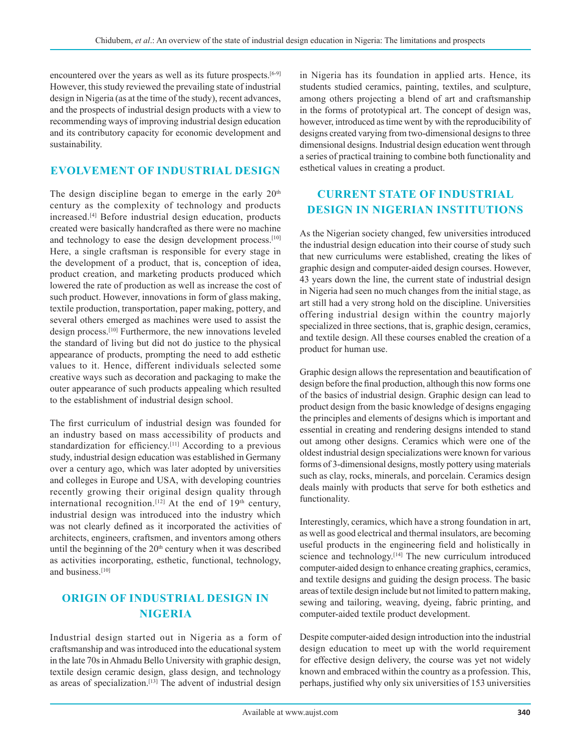encountered over the years as well as its future prospects.<sup>[6-9]</sup> However, this study reviewed the prevailing state of industrial design in Nigeria (as at the time of the study), recent advances, and the prospects of industrial design products with a view to recommending ways of improving industrial design education and its contributory capacity for economic development and sustainability.

### **EVOLVEMENT OF INDUSTRIAL DESIGN**

The design discipline began to emerge in the early  $20<sup>th</sup>$ century as the complexity of technology and products increased.[4] Before industrial design education, products created were basically handcrafted as there were no machine and technology to ease the design development process.<sup>[10]</sup> Here, a single craftsman is responsible for every stage in the development of a product, that is, conception of idea, product creation, and marketing products produced which lowered the rate of production as well as increase the cost of such product. However, innovations in form of glass making, textile production, transportation, paper making, pottery, and several others emerged as machines were used to assist the design process.[10] Furthermore, the new innovations leveled the standard of living but did not do justice to the physical appearance of products, prompting the need to add esthetic values to it. Hence, different individuals selected some creative ways such as decoration and packaging to make the outer appearance of such products appealing which resulted to the establishment of industrial design school.

The first curriculum of industrial design was founded for an industry based on mass accessibility of products and standardization for efficiency.<sup>[11]</sup> According to a previous study, industrial design education was established in Germany over a century ago, which was later adopted by universities and colleges in Europe and USA, with developing countries recently growing their original design quality through international recognition.<sup>[12]</sup> At the end of  $19<sup>th</sup>$  century, industrial design was introduced into the industry which was not clearly defined as it incorporated the activities of architects, engineers, craftsmen, and inventors among others until the beginning of the  $20<sup>th</sup>$  century when it was described as activities incorporating, esthetic, functional, technology, and business.<sup>[10]</sup>

# **ORIGIN OF INDUSTRIAL DESIGN IN NIGERIA**

Industrial design started out in Nigeria as a form of craftsmanship and was introduced into the educational system in the late 70s in Ahmadu Bello University with graphic design, textile design ceramic design, glass design, and technology as areas of specialization.<sup>[13]</sup> The advent of industrial design in Nigeria has its foundation in applied arts. Hence, its students studied ceramics, painting, textiles, and sculpture, among others projecting a blend of art and craftsmanship in the forms of prototypical art. The concept of design was, however, introduced as time went by with the reproducibility of designs created varying from two-dimensional designs to three dimensional designs. Industrial design education went through a series of practical training to combine both functionality and esthetical values in creating a product.

# **CURRENT STATE OF INDUSTRIAL DESIGN IN NIGERIAN INSTITUTIONS**

As the Nigerian society changed, few universities introduced the industrial design education into their course of study such that new curriculums were established, creating the likes of graphic design and computer-aided design courses. However, 43 years down the line, the current state of industrial design in Nigeria had seen no much changes from the initial stage, as art still had a very strong hold on the discipline. Universities offering industrial design within the country majorly specialized in three sections, that is, graphic design, ceramics, and textile design. All these courses enabled the creation of a product for human use.

Graphic design allows the representation and beautification of design before the final production, although this now forms one of the basics of industrial design. Graphic design can lead to product design from the basic knowledge of designs engaging the principles and elements of designs which is important and essential in creating and rendering designs intended to stand out among other designs. Ceramics which were one of the oldest industrial design specializations were known for various forms of 3-dimensional designs, mostly pottery using materials such as clay, rocks, minerals, and porcelain. Ceramics design deals mainly with products that serve for both esthetics and functionality.

Interestingly, ceramics, which have a strong foundation in art, as well as good electrical and thermal insulators, are becoming useful products in the engineering field and holistically in science and technology.<sup>[14]</sup> The new curriculum introduced computer-aided design to enhance creating graphics, ceramics, and textile designs and guiding the design process. The basic areas of textile design include but not limited to pattern making, sewing and tailoring, weaving, dyeing, fabric printing, and computer-aided textile product development.

Despite computer-aided design introduction into the industrial design education to meet up with the world requirement for effective design delivery, the course was yet not widely known and embraced within the country as a profession. This, perhaps, justified why only six universities of 153 universities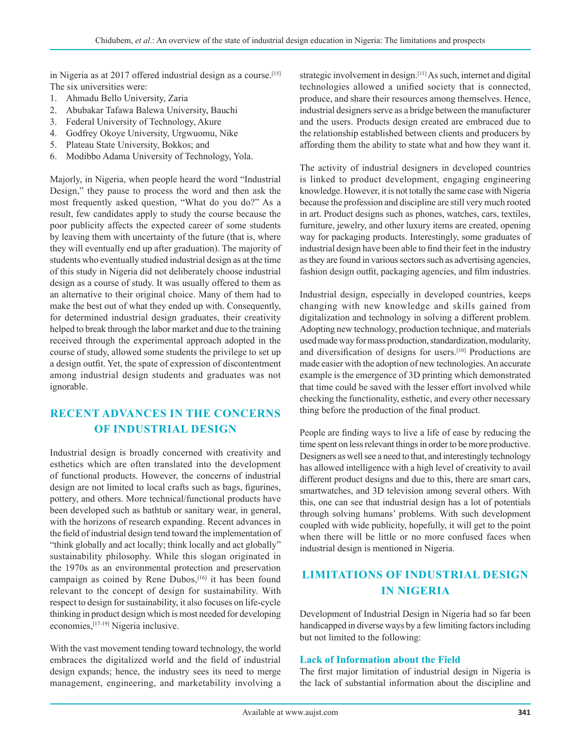in Nigeria as at 2017 offered industrial design as a course.<sup>[15]</sup> The six universities were:

- 1. Ahmadu Bello University, Zaria
- 2. Abubakar Tafawa Balewa University, Bauchi
- 3. Federal University of Technology, Akure
- 4. Godfrey Okoye University, Urgwuomu, Nike
- 5. Plateau State University, Bokkos; and
- 6. Modibbo Adama University of Technology, Yola.

Majorly, in Nigeria, when people heard the word "Industrial Design," they pause to process the word and then ask the most frequently asked question, "What do you do?" As a result, few candidates apply to study the course because the poor publicity affects the expected career of some students by leaving them with uncertainty of the future (that is, where they will eventually end up after graduation). The majority of students who eventually studied industrial design as at the time of this study in Nigeria did not deliberately choose industrial design as a course of study. It was usually offered to them as an alternative to their original choice. Many of them had to make the best out of what they ended up with. Consequently, for determined industrial design graduates, their creativity helped to break through the labor market and due to the training received through the experimental approach adopted in the course of study, allowed some students the privilege to set up a design outfit. Yet, the spate of expression of discontentment among industrial design students and graduates was not ignorable.

# **RECENT ADVANCES IN THE CONCERNS OF INDUSTRIAL DESIGN**

Industrial design is broadly concerned with creativity and esthetics which are often translated into the development of functional products. However, the concerns of industrial design are not limited to local crafts such as bags, figurines, pottery, and others. More technical/functional products have been developed such as bathtub or sanitary wear, in general, with the horizons of research expanding. Recent advances in the field of industrial design tend toward the implementation of "think globally and act locally; think locally and act globally" sustainability philosophy. While this slogan originated in the 1970s as an environmental protection and preservation campaign as coined by Rene Dubos,<sup>[16]</sup> it has been found relevant to the concept of design for sustainability. With respect to design for sustainability, it also focuses on life-cycle thinking in product design which is most needed for developing economies,[17-19] Nigeria inclusive.

With the vast movement tending toward technology, the world embraces the digitalized world and the field of industrial design expands; hence, the industry sees its need to merge management, engineering, and marketability involving a strategic involvement in design.<sup>[11]</sup> As such, internet and digital technologies allowed a unified society that is connected, produce, and share their resources among themselves. Hence, industrial designers serve as a bridge between the manufacturer and the users. Products design created are embraced due to the relationship established between clients and producers by affording them the ability to state what and how they want it.

The activity of industrial designers in developed countries is linked to product development, engaging engineering knowledge. However, it is not totally the same case with Nigeria because the profession and discipline are still very much rooted in art. Product designs such as phones, watches, cars, textiles, furniture, jewelry, and other luxury items are created, opening way for packaging products. Interestingly, some graduates of industrial design have been able to find their feet in the industry as they are found in various sectors such as advertising agencies, fashion design outfit, packaging agencies, and film industries.

Industrial design, especially in developed countries, keeps changing with new knowledge and skills gained from digitalization and technology in solving a different problem. Adopting new technology, production technique, and materials used made way for mass production, standardization, modularity, and diversification of designs for users.[10] Productions are made easier with the adoption of new technologies. An accurate example is the emergence of 3D printing which demonstrated that time could be saved with the lesser effort involved while checking the functionality, esthetic, and every other necessary thing before the production of the final product.

People are finding ways to live a life of ease by reducing the time spent on less relevant things in order to be more productive. Designers as well see a need to that, and interestingly technology has allowed intelligence with a high level of creativity to avail different product designs and due to this, there are smart cars, smartwatches, and 3D television among several others. With this, one can see that industrial design has a lot of potentials through solving humans' problems. With such development coupled with wide publicity, hopefully, it will get to the point when there will be little or no more confused faces when industrial design is mentioned in Nigeria.

# **LIMITATIONS OF INDUSTRIAL DESIGN IN NIGERIA**

Development of Industrial Design in Nigeria had so far been handicapped in diverse ways by a few limiting factors including but not limited to the following:

#### **Lack of Information about the Field**

The first major limitation of industrial design in Nigeria is the lack of substantial information about the discipline and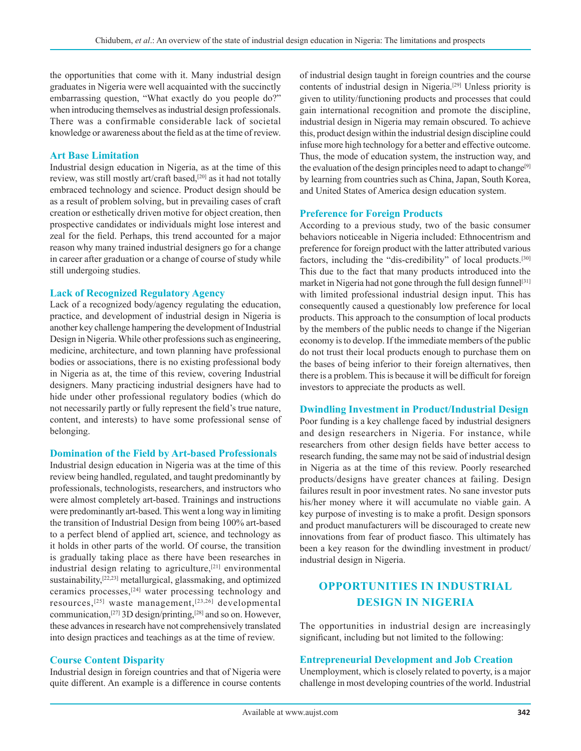the opportunities that come with it. Many industrial design graduates in Nigeria were well acquainted with the succinctly embarrassing question, "What exactly do you people do?" when introducing themselves as industrial design professionals. There was a confirmable considerable lack of societal knowledge or awareness about the field as at the time of review.

#### **Art Base Limitation**

Industrial design education in Nigeria, as at the time of this review, was still mostly art/craft based,<sup>[20]</sup> as it had not totally embraced technology and science. Product design should be as a result of problem solving, but in prevailing cases of craft creation or esthetically driven motive for object creation, then prospective candidates or individuals might lose interest and zeal for the field. Perhaps, this trend accounted for a major reason why many trained industrial designers go for a change in career after graduation or a change of course of study while still undergoing studies.

#### **Lack of Recognized Regulatory Agency**

Lack of a recognized body/agency regulating the education, practice, and development of industrial design in Nigeria is another key challenge hampering the development of Industrial Design in Nigeria. While other professions such as engineering, medicine, architecture, and town planning have professional bodies or associations, there is no existing professional body in Nigeria as at, the time of this review, covering Industrial designers. Many practicing industrial designers have had to hide under other professional regulatory bodies (which do not necessarily partly or fully represent the field's true nature, content, and interests) to have some professional sense of belonging.

#### **Domination of the Field by Art-based Professionals**

Industrial design education in Nigeria was at the time of this review being handled, regulated, and taught predominantly by professionals, technologists, researchers, and instructors who were almost completely art-based. Trainings and instructions were predominantly art-based. This went a long way in limiting the transition of Industrial Design from being 100% art-based to a perfect blend of applied art, science, and technology as it holds in other parts of the world. Of course, the transition is gradually taking place as there have been researches in industrial design relating to agriculture,<sup>[21]</sup> environmental sustainability,[22,23] metallurgical, glassmaking, and optimized ceramics processes,[24] water processing technology and resources,[25] waste management,[23,26] developmental communication,[27] 3D design/printing,[28] and so on. However, these advances in research have not comprehensively translated into design practices and teachings as at the time of review.

#### **Course Content Disparity**

Industrial design in foreign countries and that of Nigeria were quite different. An example is a difference in course contents of industrial design taught in foreign countries and the course contents of industrial design in Nigeria.[29] Unless priority is given to utility/functioning products and processes that could gain international recognition and promote the discipline, industrial design in Nigeria may remain obscured. To achieve this, product design within the industrial design discipline could infuse more high technology for a better and effective outcome. Thus, the mode of education system, the instruction way, and the evaluation of the design principles need to adapt to change<sup>[9]</sup> by learning from countries such as China, Japan, South Korea, and United States of America design education system.

#### **Preference for Foreign Products**

According to a previous study, two of the basic consumer behaviors noticeable in Nigeria included: Ethnocentrism and preference for foreign product with the latter attributed various factors, including the "dis-credibility" of local products.<sup>[30]</sup> This due to the fact that many products introduced into the market in Nigeria had not gone through the full design funnel<sup>[31]</sup> with limited professional industrial design input. This has consequently caused a questionably low preference for local products. This approach to the consumption of local products by the members of the public needs to change if the Nigerian economy is to develop. If the immediate members of the public do not trust their local products enough to purchase them on the bases of being inferior to their foreign alternatives, then there is a problem. This is because it will be difficult for foreign investors to appreciate the products as well.

#### **Dwindling Investment in Product/Industrial Design**

Poor funding is a key challenge faced by industrial designers and design researchers in Nigeria. For instance, while researchers from other design fields have better access to research funding, the same may not be said of industrial design in Nigeria as at the time of this review. Poorly researched products/designs have greater chances at failing. Design failures result in poor investment rates. No sane investor puts his/her money where it will accumulate no viable gain. A key purpose of investing is to make a profit. Design sponsors and product manufacturers will be discouraged to create new innovations from fear of product fiasco. This ultimately has been a key reason for the dwindling investment in product/ industrial design in Nigeria.

# **OPPORTUNITIES IN INDUSTRIAL DESIGN IN NIGERIA**

The opportunities in industrial design are increasingly significant, including but not limited to the following:

#### **Entrepreneurial Development and Job Creation**

Unemployment, which is closely related to poverty, is a major challenge in most developing countries of the world. Industrial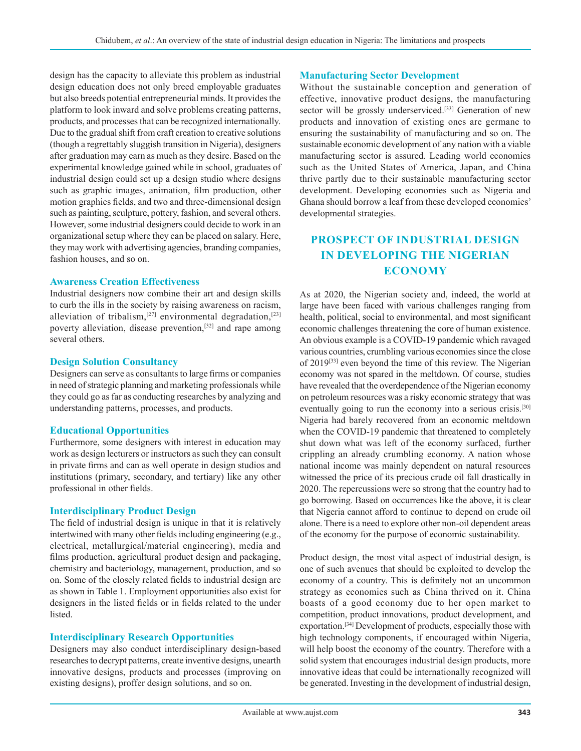design has the capacity to alleviate this problem as industrial design education does not only breed employable graduates but also breeds potential entrepreneurial minds. It provides the platform to look inward and solve problems creating patterns, products, and processes that can be recognized internationally. Due to the gradual shift from craft creation to creative solutions (though a regrettably sluggish transition in Nigeria), designers after graduation may earn as much as they desire. Based on the experimental knowledge gained while in school, graduates of industrial design could set up a design studio where designs such as graphic images, animation, film production, other motion graphics fields, and two and three-dimensional design such as painting, sculpture, pottery, fashion, and several others. However, some industrial designers could decide to work in an organizational setup where they can be placed on salary. Here, they may work with advertising agencies, branding companies, fashion houses, and so on.

#### **Awareness Creation Effectiveness**

Industrial designers now combine their art and design skills to curb the ills in the society by raising awareness on racism, alleviation of tribalism,<sup>[27]</sup> environmental degradation,<sup>[23]</sup> poverty alleviation, disease prevention,<sup>[32]</sup> and rape among several others.

#### **Design Solution Consultancy**

Designers can serve as consultants to large firms or companies in need of strategic planning and marketing professionals while they could go as far as conducting researches by analyzing and understanding patterns, processes, and products.

#### **Educational Opportunities**

Furthermore, some designers with interest in education may work as design lecturers or instructors as such they can consult in private firms and can as well operate in design studios and institutions (primary, secondary, and tertiary) like any other professional in other fields.

#### **Interdisciplinary Product Design**

The field of industrial design is unique in that it is relatively intertwined with many other fields including engineering (e.g., electrical, metallurgical/material engineering), media and films production, agricultural product design and packaging, chemistry and bacteriology, management, production, and so on. Some of the closely related fields to industrial design are as shown in Table 1. Employment opportunities also exist for designers in the listed fields or in fields related to the under **listed** 

#### **Interdisciplinary Research Opportunities**

Designers may also conduct interdisciplinary design-based researches to decrypt patterns, create inventive designs, unearth innovative designs, products and processes (improving on existing designs), proffer design solutions, and so on.

#### **Manufacturing Sector Development**

Without the sustainable conception and generation of effective, innovative product designs, the manufacturing sector will be grossly underserviced.<sup>[33]</sup> Generation of new products and innovation of existing ones are germane to ensuring the sustainability of manufacturing and so on. The sustainable economic development of any nation with a viable manufacturing sector is assured. Leading world economies such as the United States of America, Japan, and China thrive partly due to their sustainable manufacturing sector development. Developing economies such as Nigeria and Ghana should borrow a leaf from these developed economies' developmental strategies.

# **PROSPECT OF INDUSTRIAL DESIGN IN DEVELOPING THE NIGERIAN ECONOMY**

As at 2020, the Nigerian society and, indeed, the world at large have been faced with various challenges ranging from health, political, social to environmental, and most significant economic challenges threatening the core of human existence. An obvious example is a COVID-19 pandemic which ravaged various countries, crumbling various economies since the close of 2019<sup>[33]</sup> even beyond the time of this review. The Nigerian economy was not spared in the meltdown. Of course, studies have revealed that the overdependence of the Nigerian economy on petroleum resources was a risky economic strategy that was eventually going to run the economy into a serious crisis.<sup>[30]</sup> Nigeria had barely recovered from an economic meltdown when the COVID-19 pandemic that threatened to completely shut down what was left of the economy surfaced, further crippling an already crumbling economy. A nation whose national income was mainly dependent on natural resources witnessed the price of its precious crude oil fall drastically in 2020. The repercussions were so strong that the country had to go borrowing. Based on occurrences like the above, it is clear that Nigeria cannot afford to continue to depend on crude oil alone. There is a need to explore other non-oil dependent areas of the economy for the purpose of economic sustainability.

Product design, the most vital aspect of industrial design, is one of such avenues that should be exploited to develop the economy of a country. This is definitely not an uncommon strategy as economies such as China thrived on it. China boasts of a good economy due to her open market to competition, product innovations, product development, and exportation.<sup>[34]</sup> Development of products, especially those with high technology components, if encouraged within Nigeria, will help boost the economy of the country. Therefore with a solid system that encourages industrial design products, more innovative ideas that could be internationally recognized will be generated. Investing in the development of industrial design,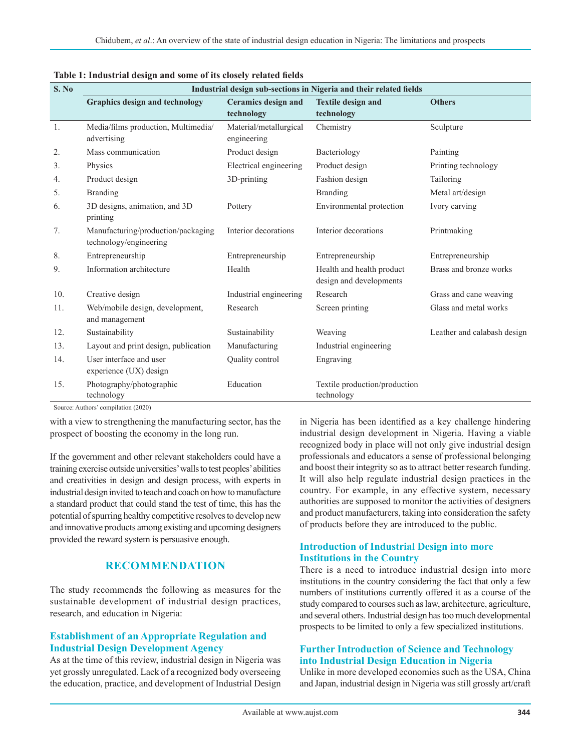| S. No | Industrial design sub-sections in Nigeria and their related fields |                                          |                                                      |                             |  |  |  |
|-------|--------------------------------------------------------------------|------------------------------------------|------------------------------------------------------|-----------------------------|--|--|--|
|       | <b>Graphics design and technology</b>                              | <b>Ceramics</b> design and<br>technology | <b>Textile design and</b><br>technology              | <b>Others</b>               |  |  |  |
| 1.    | Media/films production, Multimedia/<br>advertising                 | Material/metallurgical<br>engineering    | Chemistry                                            | Sculpture                   |  |  |  |
| 2.    | Mass communication                                                 | Product design                           | Bacteriology                                         | Painting                    |  |  |  |
| 3.    | Physics                                                            | Electrical engineering                   | Product design                                       | Printing technology         |  |  |  |
| 4.    | Product design                                                     | 3D-printing                              | Fashion design                                       | Tailoring                   |  |  |  |
| 5.    | <b>Branding</b>                                                    |                                          | <b>Branding</b>                                      | Metal art/design            |  |  |  |
| 6.    | 3D designs, animation, and 3D<br>printing                          | Pottery                                  | Environmental protection                             | Ivory carving               |  |  |  |
| 7.    | Manufacturing/production/packaging<br>technology/engineering       | Interior decorations                     | Interior decorations                                 | Printmaking                 |  |  |  |
| 8.    | Entrepreneurship                                                   | Entrepreneurship                         | Entrepreneurship                                     | Entrepreneurship            |  |  |  |
| 9.    | Information architecture                                           | Health                                   | Health and health product<br>design and developments | Brass and bronze works      |  |  |  |
| 10.   | Creative design                                                    | Industrial engineering                   | Research                                             | Grass and cane weaving      |  |  |  |
| 11.   | Web/mobile design, development,<br>and management                  | Research                                 | Screen printing                                      | Glass and metal works       |  |  |  |
| 12.   | Sustainability                                                     | Sustainability                           | Weaving                                              | Leather and calabash design |  |  |  |
| 13.   | Layout and print design, publication                               | Manufacturing                            | Industrial engineering                               |                             |  |  |  |
| 14.   | User interface and user<br>experience (UX) design                  | Quality control                          | Engraving                                            |                             |  |  |  |
| 15.   | Photography/photographic<br>technology                             | Education                                | Textile production/production<br>technology          |                             |  |  |  |

| Table 1: Industrial design and some of its closely related fields |  |  |  |  |  |  |
|-------------------------------------------------------------------|--|--|--|--|--|--|
|-------------------------------------------------------------------|--|--|--|--|--|--|

Source: Authors' compilation (2020)

with a view to strengthening the manufacturing sector, has the prospect of boosting the economy in the long run.

If the government and other relevant stakeholders could have a training exercise outside universities' walls to test peoples' abilities and creativities in design and design process, with experts in industrial design invited to teach and coach on how to manufacture a standard product that could stand the test of time, this has the potential of spurring healthy competitive resolves to develop new and innovative products among existing and upcoming designers provided the reward system is persuasive enough.

### **RECOMMENDATION**

The study recommends the following as measures for the sustainable development of industrial design practices, research, and education in Nigeria:

### **Establishment of an Appropriate Regulation and Industrial Design Development Agency**

As at the time of this review, industrial design in Nigeria was yet grossly unregulated. Lack of a recognized body overseeing the education, practice, and development of Industrial Design in Nigeria has been identified as a key challenge hindering industrial design development in Nigeria. Having a viable recognized body in place will not only give industrial design professionals and educators a sense of professional belonging and boost their integrity so as to attract better research funding. It will also help regulate industrial design practices in the country. For example, in any effective system, necessary authorities are supposed to monitor the activities of designers and product manufacturers, taking into consideration the safety of products before they are introduced to the public.

#### **Introduction of Industrial Design into more Institutions in the Country**

There is a need to introduce industrial design into more institutions in the country considering the fact that only a few numbers of institutions currently offered it as a course of the study compared to courses such as law, architecture, agriculture, and several others. Industrial design has too much developmental prospects to be limited to only a few specialized institutions.

### **Further Introduction of Science and Technology into Industrial Design Education in Nigeria**

Unlike in more developed economies such as the USA, China and Japan, industrial design in Nigeria was still grossly art/craft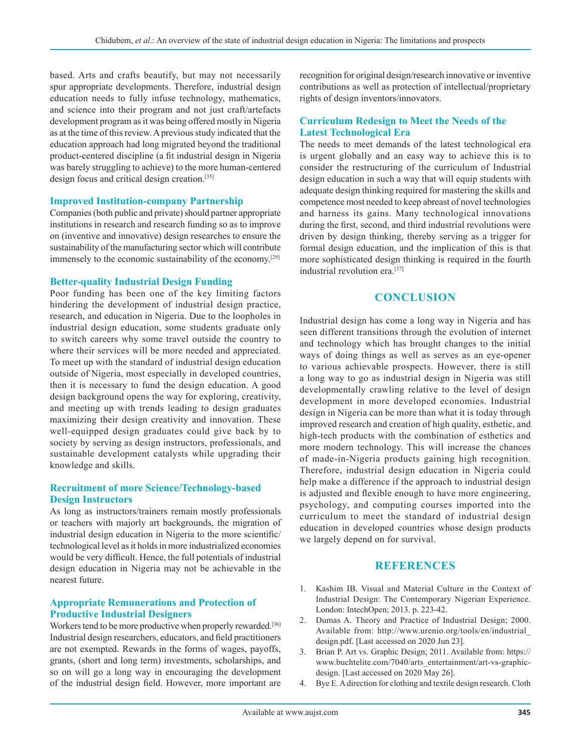based. Arts and crafts beautify, but may not necessarily spur appropriate developments. Therefore, industrial design education needs to fully infuse technology, mathematics, and science into their program and not just craft/artefacts development program as it was being offered mostly in Nigeria as at the time of this review. A previous study indicated that the education approach had long migrated beyond the traditional product-centered discipline (a fit industrial design in Nigeria was barely struggling to achieve) to the more human-centered design focus and critical design creation.[35]

#### **Improved Institution-company Partnership**

Companies (both public and private) should partner appropriate institutions in research and research funding so as to improve on (inventive and innovative) design researches to ensure the sustainability of the manufacturing sector which will contribute immensely to the economic sustainability of the economy.[29]

#### **Better-quality Industrial Design Funding**

Poor funding has been one of the key limiting factors hindering the development of industrial design practice, research, and education in Nigeria. Due to the loopholes in industrial design education, some students graduate only to switch careers why some travel outside the country to where their services will be more needed and appreciated. To meet up with the standard of industrial design education outside of Nigeria, most especially in developed countries, then it is necessary to fund the design education. A good design background opens the way for exploring, creativity, and meeting up with trends leading to design graduates maximizing their design creativity and innovation. These well-equipped design graduates could give back by to society by serving as design instructors, professionals, and sustainable development catalysts while upgrading their knowledge and skills.

#### **Recruitment of more Science/Technology-based Design Instructors**

As long as instructors/trainers remain mostly professionals or teachers with majorly art backgrounds, the migration of industrial design education in Nigeria to the more scientific/ technological level as it holds in more industrialized economies would be very difficult. Hence, the full potentials of industrial design education in Nigeria may not be achievable in the nearest future.

#### **Appropriate Remunerations and Protection of Productive Industrial Designers**

Workers tend to be more productive when properly rewarded.<sup>[36]</sup> Industrial design researchers, educators, and field practitioners are not exempted. Rewards in the forms of wages, payoffs, grants, (short and long term) investments, scholarships, and so on will go a long way in encouraging the development of the industrial design field. However, more important are recognition for original design/research innovative or inventive contributions as well as protection of intellectual/proprietary rights of design inventors/innovators.

#### **Curriculum Redesign to Meet the Needs of the Latest Technological Era**

The needs to meet demands of the latest technological era is urgent globally and an easy way to achieve this is to consider the restructuring of the curriculum of Industrial design education in such a way that will equip students with adequate design thinking required for mastering the skills and competence most needed to keep abreast of novel technologies and harness its gains. Many technological innovations during the first, second, and third industrial revolutions were driven by design thinking, thereby serving as a trigger for formal design education, and the implication of this is that more sophisticated design thinking is required in the fourth industrial revolution era.[37]

### **CONCLUSION**

Industrial design has come a long way in Nigeria and has seen different transitions through the evolution of internet and technology which has brought changes to the initial ways of doing things as well as serves as an eye-opener to various achievable prospects. However, there is still a long way to go as industrial design in Nigeria was still developmentally crawling relative to the level of design development in more developed economies. Industrial design in Nigeria can be more than what it is today through improved research and creation of high quality, esthetic, and high-tech products with the combination of esthetics and more modern technology. This will increase the chances of made-in-Nigeria products gaining high recognition. Therefore, industrial design education in Nigeria could help make a difference if the approach to industrial design is adjusted and flexible enough to have more engineering, psychology, and computing courses imported into the curriculum to meet the standard of industrial design education in developed countries whose design products we largely depend on for survival.

#### **REFERENCES**

- 1. Kashim IB. Visual and Material Culture in the Context of Industrial Design: The Contemporary Nigerian Experience. London: IntechOpen; 2013. p. 223-42.
- 2. Dumas A. Theory and Practice of Industrial Design; 2000. Available from: http://www.urenio.org/tools/en/industrial\_ design.pdf. [Last accessed on 2020 Jun 23].
- 3. Brian P. Art vs. Graphic Design; 2011. Available from: https:// www.buchtelite.com/7040/arts\_entertainment/art-vs-graphicdesign. [Last accessed on 2020 May 26].
- 4. Bye E. A direction for clothing and textile design research. Cloth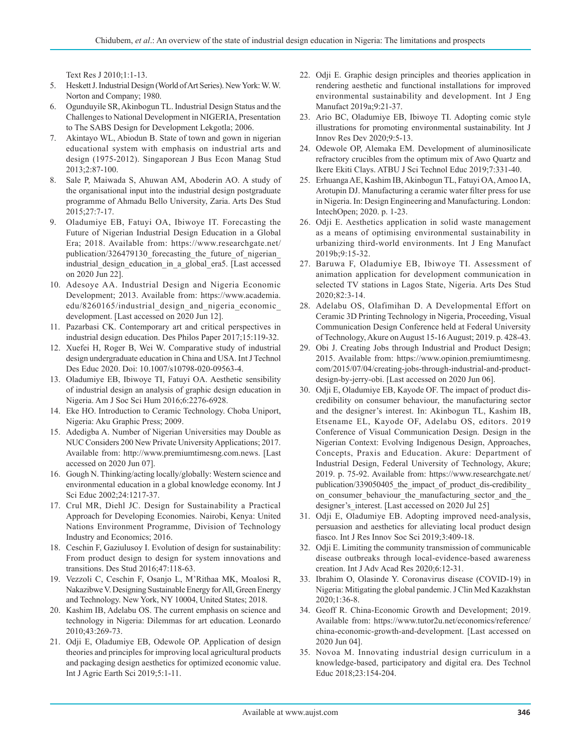Text Res J 2010;1:1-13.

- 5. Heskett J. Industrial Design (World of Art Series). New York: W.W. Norton and Company; 1980.
- 6. Ogunduyile SR, Akinbogun TL. Industrial Design Status and the Challenges to National Development in NIGERIA, Presentation to The SABS Design for Development Lekgotla; 2006.
- 7. Akintayo WL, Abiodun B. State of town and gown in nigerian educational system with emphasis on industrial arts and design (1975-2012). Singaporean J Bus Econ Manag Stud 2013;2:87-100.
- 8. Sale P, Maiwada S, Ahuwan AM, Aboderin AO. A study of the organisational input into the industrial design postgraduate programme of Ahmadu Bello University, Zaria. Arts Des Stud 2015;27:7-17.
- 9. Oladumiye EB, Fatuyi OA, Ibiwoye IT. Forecasting the Future of Nigerian Industrial Design Education in a Global Era; 2018. Available from: https://www.researchgate.net/ publication/326479130 forecasting the future of nigerian industrial design education in a global era5. [Last accessed on 2020 Jun 22].
- 10. Adesoye AA. Industrial Design and Nigeria Economic Development; 2013. Available from: https://www.academia. edu/8260165/industrial\_design\_and\_nigeria\_economic\_ development. [Last accessed on 2020 Jun 12].
- 11. Pazarbasi CK. Contemporary art and critical perspectives in industrial design education. Des Philos Paper 2017;15:119-32.
- 12. Xuefei H, Roger B, Wei W. Comparative study of industrial design undergraduate education in China and USA. Int J Technol Des Educ 2020. Doi: 10.1007/s10798-020-09563-4.
- 13. Oladumiye EB, Ibiwoye TI, Fatuyi OA. Aesthetic sensibility of industrial design an analysis of graphic design education in Nigeria. Am J Soc Sci Hum 2016;6:2276-6928.
- 14. Eke HO. Introduction to Ceramic Technology. Choba Uniport, Nigeria: Aku Graphic Press; 2009.
- 15. Adedigba A. Number of Nigerian Universities may Double as NUC Considers 200 New Private University Applications; 2017. Available from: http://www.premiumtimesng.com.news. [Last accessed on 2020 Jun 07].
- 16. Gough N. Thinking/acting locally/globally: Western science and environmental education in a global knowledge economy. Int J Sci Educ 2002;24:1217-37.
- 17. Crul MR, Diehl JC. Design for Sustainability a Practical Approach for Developing Economies. Nairobi, Kenya: United Nations Environment Programme, Division of Technology Industry and Economics; 2016.
- 18. Ceschin F, Gaziulusoy I. Evolution of design for sustainability: From product design to design for system innovations and transitions. Des Stud 2016;47:118-63.
- 19. Vezzoli C, Ceschin F, Osanjo L, M'Rithaa MK, Moalosi R, Nakazibwe V. Designing Sustainable Energy for All, Green Energy and Technology. New York, NY 10004, United States; 2018.
- 20. Kashim IB, Adelabu OS. The current emphasis on science and technology in Nigeria: Dilemmas for art education. Leonardo 2010;43:269-73.
- 21. Odji E, Oladumiye EB, Odewole OP. Application of design theories and principles for improving local agricultural products and packaging design aesthetics for optimized economic value. Int J Agric Earth Sci 2019;5:1-11.
- 22. Odji E. Graphic design principles and theories application in rendering aesthetic and functional installations for improved environmental sustainability and development. Int J Eng Manufact 2019a;9:21-37.
- 23. Ario BC, Oladumiye EB, Ibiwoye TI. Adopting comic style illustrations for promoting environmental sustainability. Int J Innov Res Dev 2020;9:5-13.
- 24. Odewole OP, Alemaka EM. Development of aluminosilicate refractory crucibles from the optimum mix of Awo Quartz and Ikere Ekiti Clays. ATBU J Sci Technol Educ 2019;7:331-40.
- 25. Erhuanga AE, Kashim IB, Akinbogun TL, Fatuyi OA, Amoo IA, Arotupin DJ. Manufacturing a ceramic water filter press for use in Nigeria. In: Design Engineering and Manufacturing. London: IntechOpen; 2020. p. 1-23.
- 26. Odji E. Aesthetics application in solid waste management as a means of optimising environmental sustainability in urbanizing third-world environments. Int J Eng Manufact 2019b;9:15-32.
- 27. Baruwa F, Oladumiye EB, Ibiwoye TI. Assessment of animation application for development communication in selected TV stations in Lagos State, Nigeria. Arts Des Stud 2020;82:3-14.
- 28. Adelabu OS, Olafimihan D. A Developmental Effort on Ceramic 3D Printing Technology in Nigeria, Proceeding, Visual Communication Design Conference held at Federal University of Technology, Akure on August 15-16 August; 2019. p. 428-43.
- 29. Obi J. Creating Jobs through Industrial and Product Design; 2015. Available from: https://www.opinion.premiumtimesng. com/2015/07/04/creating-jobs-through-industrial-and-productdesign-by-jerry-obi. [Last accessed on 2020 Jun 06].
- 30. Odji E, Oladumiye EB, Kayode OF. The impact of product discredibility on consumer behaviour, the manufacturing sector and the designer's interest. In: Akinbogun TL, Kashim IB, Etsename EL, Kayode OF, Adelabu OS, editors. 2019 Conference of Visual Communication Design. Design in the Nigerian Context: Evolving Indigenous Design, Approaches, Concepts, Praxis and Education. Akure: Department of Industrial Design, Federal University of Technology, Akure; 2019. p. 75-92. Available from: https://www.researchgate.net/ publication/339050405 the impact of product dis-credibility on consumer behaviour the manufacturing sector and the designer's interest. [Last accessed on 2020 Jul 25]
- 31. Odji E, Oladumiye EB. Adopting improved need-analysis, persuasion and aesthetics for alleviating local product design fiasco. Int J Res Innov Soc Sci 2019;3:409-18.
- 32. Odji E. Limiting the community transmission of communicable disease outbreaks through local-evidence-based awareness creation. Int J Adv Acad Res 2020;6:12-31.
- 33. Ibrahim O, Olasinde Y. Coronavirus disease (COVID-19) in Nigeria: Mitigating the global pandemic. J Clin Med Kazakhstan 2020;1:36-8.
- 34. Geoff R. China-Economic Growth and Development; 2019. Available from: https://www.tutor2u.net/economics/reference/ china-economic-growth-and-development. [Last accessed on 2020 Jun 04].
- 35. Novoa M. Innovating industrial design curriculum in a knowledge-based, participatory and digital era. Des Technol Educ 2018;23:154-204.